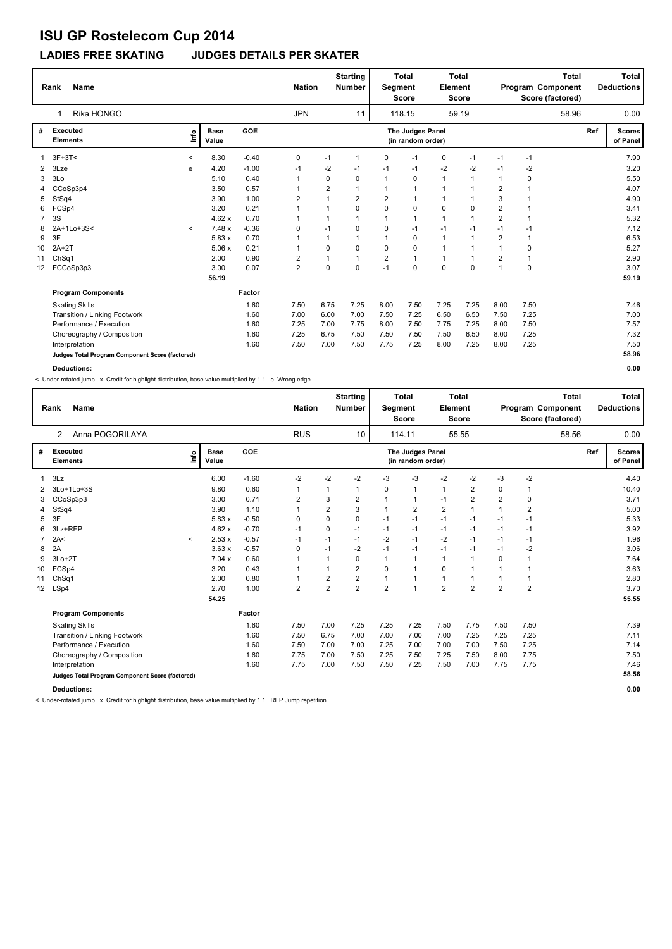### **LADIES FREE SKATING JUDGES DETAILS PER SKATER**

|                 | <b>Name</b><br>Rank                             |         |                      |         | <b>Nation</b>  |                | <b>Starting</b><br><b>Number</b> | Segment        | <b>Total</b><br><b>Score</b>          | Element      | <b>Total</b><br><b>Score</b> |                | <b>Total</b><br>Program Component<br>Score (factored) |     | <b>Total</b><br><b>Deductions</b> |
|-----------------|-------------------------------------------------|---------|----------------------|---------|----------------|----------------|----------------------------------|----------------|---------------------------------------|--------------|------------------------------|----------------|-------------------------------------------------------|-----|-----------------------------------|
|                 | Rika HONGO<br>1                                 |         |                      |         | <b>JPN</b>     |                | 11                               |                | 118.15                                |              | 59.19                        |                | 58.96                                                 |     | 0.00                              |
| #               | <b>Executed</b><br><b>Elements</b>              | ١nf٥    | <b>Base</b><br>Value | GOE     |                |                |                                  |                | The Judges Panel<br>(in random order) |              |                              |                |                                                       | Ref | <b>Scores</b><br>of Panel         |
|                 | $3F+3T<$                                        | $\,<$   | 8.30                 | $-0.40$ | 0              | $-1$           | $\overline{1}$                   | 0              | $-1$                                  | 0            | $-1$                         | $-1$           | $-1$                                                  |     | 7.90                              |
| $\overline{2}$  | 3Lze                                            | e       | 4.20                 | $-1.00$ | $-1$           | $-2$           | -1                               | -1             | $-1$                                  | $-2$         | $-2$                         | $-1$           | $-2$                                                  |     | 3.20                              |
| 3               | 3Lo                                             |         | 5.10                 | 0.40    |                | 0              | $\mathbf 0$                      | $\overline{1}$ | 0                                     | $\mathbf{1}$ | $\mathbf 1$                  | -1             | 0                                                     |     | 5.50                              |
| 4               | CCoSp3p4                                        |         | 3.50                 | 0.57    | $\mathbf 1$    | $\overline{2}$ | $\overline{1}$                   |                | 1                                     | $\mathbf{1}$ | $\overline{1}$               | $\overline{2}$ | 1                                                     |     | 4.07                              |
| 5               | StSq4                                           |         | 3.90                 | 1.00    | 2              | 1              | $\overline{2}$                   | 2              | -1                                    | 1            |                              | 3              | 1                                                     |     | 4.90                              |
| 6               | FCSp4                                           |         | 3.20                 | 0.21    |                | 1              | $\mathbf 0$                      | $\Omega$       | 0                                     | 0            | 0                            | $\overline{2}$ | 1                                                     |     | 3.41                              |
| $\overline{7}$  | 3S                                              |         | 4.62x                | 0.70    |                | 1              |                                  | $\mathbf 1$    | 1                                     | $\mathbf{1}$ | $\mathbf 1$                  | $\overline{2}$ | 1                                                     |     | 5.32                              |
| 8               | 2A+1Lo+3S<                                      | $\prec$ | 7.48x                | $-0.36$ | 0              | $-1$           | 0                                | 0              | $-1$                                  | $-1$         | $-1$                         | $-1$           | $-1$                                                  |     | 7.12                              |
| 9               | 3F                                              |         | 5.83 x               | 0.70    |                | 1              |                                  |                | 0                                     | $\mathbf{1}$ |                              | $\overline{2}$ | 1                                                     |     | 6.53                              |
| 10              | $2A+2T$                                         |         | 5.06x                | 0.21    |                | 0              | $\mathbf 0$                      | $\Omega$       | 0                                     | 1            |                              | 1              | 0                                                     |     | 5.27                              |
| 11              | ChSq1                                           |         | 2.00                 | 0.90    | 2              | 1              | $\overline{1}$                   | $\overline{2}$ | $\overline{1}$                        | 1            |                              | 2              | 1                                                     |     | 2.90                              |
| 12 <sup>2</sup> | FCCoSp3p3                                       |         | 3.00                 | 0.07    | $\overline{2}$ | 0              | $\mathbf 0$                      | $-1$           | $\Omega$                              | 0            | $\Omega$                     | 1              | $\mathbf 0$                                           |     | 3.07                              |
|                 |                                                 |         | 56.19                |         |                |                |                                  |                |                                       |              |                              |                |                                                       |     | 59.19                             |
|                 | <b>Program Components</b>                       |         |                      | Factor  |                |                |                                  |                |                                       |              |                              |                |                                                       |     |                                   |
|                 | <b>Skating Skills</b>                           |         |                      | 1.60    | 7.50           | 6.75           | 7.25                             | 8.00           | 7.50                                  | 7.25         | 7.25                         | 8.00           | 7.50                                                  |     | 7.46                              |
|                 | Transition / Linking Footwork                   |         |                      | 1.60    | 7.00           | 6.00           | 7.00                             | 7.50           | 7.25                                  | 6.50         | 6.50                         | 7.50           | 7.25                                                  |     | 7.00                              |
|                 | Performance / Execution                         |         |                      | 1.60    | 7.25           | 7.00           | 7.75                             | 8.00           | 7.50                                  | 7.75         | 7.25                         | 8.00           | 7.50                                                  |     | 7.57                              |
|                 | Choreography / Composition                      |         |                      | 1.60    | 7.25           | 6.75           | 7.50                             | 7.50           | 7.50                                  | 7.50         | 6.50                         | 8.00           | 7.25                                                  |     | 7.32                              |
|                 | Interpretation                                  |         |                      | 1.60    | 7.50           | 7.00           | 7.50                             | 7.75           | 7.25                                  | 8.00         | 7.25                         | 8.00           | 7.25                                                  |     | 7.50                              |
|                 | Judges Total Program Component Score (factored) |         |                      |         |                |                |                                  |                |                                       |              |                              |                |                                                       |     | 58.96                             |
|                 | Deductions:                                     |         |                      |         |                |                |                                  |                |                                       |              |                              |                |                                                       |     | 0.00                              |

< Under-rotated jump x Credit for highlight distribution, base value multiplied by 1.1 e Wrong edge

|                 | <b>Name</b><br>Rank                             |         |                      |         | <b>Nation</b>  |                | <b>Starting</b><br>Number | <b>Segment</b> | <b>Total</b><br><b>Score</b>          | Element        | Total<br><b>Score</b> |                | Program Component<br>Score (factored) | <b>Total</b> |     | <b>Total</b><br><b>Deductions</b> |
|-----------------|-------------------------------------------------|---------|----------------------|---------|----------------|----------------|---------------------------|----------------|---------------------------------------|----------------|-----------------------|----------------|---------------------------------------|--------------|-----|-----------------------------------|
|                 | Anna POGORILAYA<br>2                            |         |                      |         | <b>RUS</b>     |                | 10                        |                | 114.11                                |                | 55.55                 |                |                                       | 58.56        |     | 0.00                              |
| #               | Executed<br><b>Elements</b>                     | lnfo    | <b>Base</b><br>Value | GOE     |                |                |                           |                | The Judges Panel<br>(in random order) |                |                       |                |                                       |              | Ref | <b>Scores</b><br>of Panel         |
| $\mathbf{1}$    | 3Lz                                             |         | 6.00                 | $-1.60$ | $-2$           | $-2$           | $-2$                      | -3             | $-3$                                  | $-2$           | $-2$                  | -3             | $-2$                                  |              |     | 4.40                              |
|                 | 2 3Lo+1Lo+3S                                    |         | 9.80                 | 0.60    | $\mathbf{1}$   | 1              | 1                         | 0              | $\mathbf{1}$                          | $\mathbf{1}$   | $\overline{2}$        | $\Omega$       | 1                                     |              |     | 10.40                             |
| 3               | CCoSp3p3                                        |         | 3.00                 | 0.71    | $\overline{2}$ | 3              | $\overline{2}$            | 1              | $\mathbf{1}$                          | $-1$           | $\overline{2}$        | $\overline{2}$ | $\mathbf 0$                           |              |     | 3.71                              |
| 4               | StSq4                                           |         | 3.90                 | 1.10    | 1              | $\overline{2}$ | 3                         | 1              | $\overline{2}$                        | $\overline{2}$ | 1                     |                | $\overline{2}$                        |              |     | 5.00                              |
| 5               | 3F                                              |         | 5.83x                | $-0.50$ | 0              | $\mathbf 0$    | 0                         | $-1$           | $-1$                                  | $-1$           | $-1$                  | -1             | $-1$                                  |              |     | 5.33                              |
| 6               | 3Lz+REP                                         |         | 4.62x                | $-0.70$ | $-1$           | 0              | $-1$                      | $-1$           | $-1$                                  | $-1$           | $-1$                  | $-1$           | $-1$                                  |              |     | 3.92                              |
| 7               | 2A<                                             | $\prec$ | 2.53x                | $-0.57$ | $-1$           | $-1$           | $-1$                      | $-2$           | $-1$                                  | $-2$           | $-1$                  | $-1$           | $-1$                                  |              |     | 1.96                              |
| 8               | 2A                                              |         | 3.63x                | $-0.57$ | 0              | $-1$           | $-2$                      | $-1$           | $-1$                                  | $-1$           | $-1$                  | -1             | $-2$                                  |              |     | 3.06                              |
| 9               | $3Lo+2T$                                        |         | 7.04 x               | 0.60    | 1              | $\mathbf 1$    | 0                         | 1              | $\mathbf{1}$                          | $\mathbf{1}$   | $\overline{1}$        | $\Omega$       | 1                                     |              |     | 7.64                              |
| 10              | FCSp4                                           |         | 3.20                 | 0.43    |                | 1              | 2                         | 0              | $\mathbf{1}$                          | 0              | $\overline{1}$        |                | 1                                     |              |     | 3.63                              |
| 11              | Ch <sub>Sq1</sub>                               |         | 2.00                 | 0.80    |                | $\overline{2}$ | $\overline{\mathbf{c}}$   | 1              | $\mathbf{1}$                          | $\mathbf{1}$   | 1                     |                | 1                                     |              |     | 2.80                              |
| 12 <sup>°</sup> | LSp4                                            |         | 2.70                 | 1.00    | $\overline{2}$ | $\overline{2}$ | $\overline{2}$            | $\overline{2}$ | $\mathbf{1}$                          | $\overline{2}$ | $\overline{2}$        | $\overline{2}$ | $\overline{2}$                        |              |     | 3.70                              |
|                 |                                                 |         | 54.25                |         |                |                |                           |                |                                       |                |                       |                |                                       |              |     | 55.55                             |
|                 | <b>Program Components</b>                       |         |                      | Factor  |                |                |                           |                |                                       |                |                       |                |                                       |              |     |                                   |
|                 | <b>Skating Skills</b>                           |         |                      | 1.60    | 7.50           | 7.00           | 7.25                      | 7.25           | 7.25                                  | 7.50           | 7.75                  | 7.50           | 7.50                                  |              |     | 7.39                              |
|                 | Transition / Linking Footwork                   |         |                      | 1.60    | 7.50           | 6.75           | 7.00                      | 7.00           | 7.00                                  | 7.00           | 7.25                  | 7.25           | 7.25                                  |              |     | 7.11                              |
|                 | Performance / Execution                         |         |                      | 1.60    | 7.50           | 7.00           | 7.00                      | 7.25           | 7.00                                  | 7.00           | 7.00                  | 7.50           | 7.25                                  |              |     | 7.14                              |
|                 | Choreography / Composition                      |         |                      | 1.60    | 7.75           | 7.00           | 7.50                      | 7.25           | 7.50                                  | 7.25           | 7.50                  | 8.00           | 7.75                                  |              |     | 7.50                              |
|                 | Interpretation                                  |         |                      | 1.60    | 7.75           | 7.00           | 7.50                      | 7.50           | 7.25                                  | 7.50           | 7.00                  | 7.75           | 7.75                                  |              |     | 7.46                              |
|                 | Judges Total Program Component Score (factored) |         |                      |         |                |                |                           |                |                                       |                |                       |                |                                       |              |     | 58.56                             |

**Deductions: 0.00**

< Under-rotated jump x Credit for highlight distribution, base value multiplied by 1.1 REP Jump repetition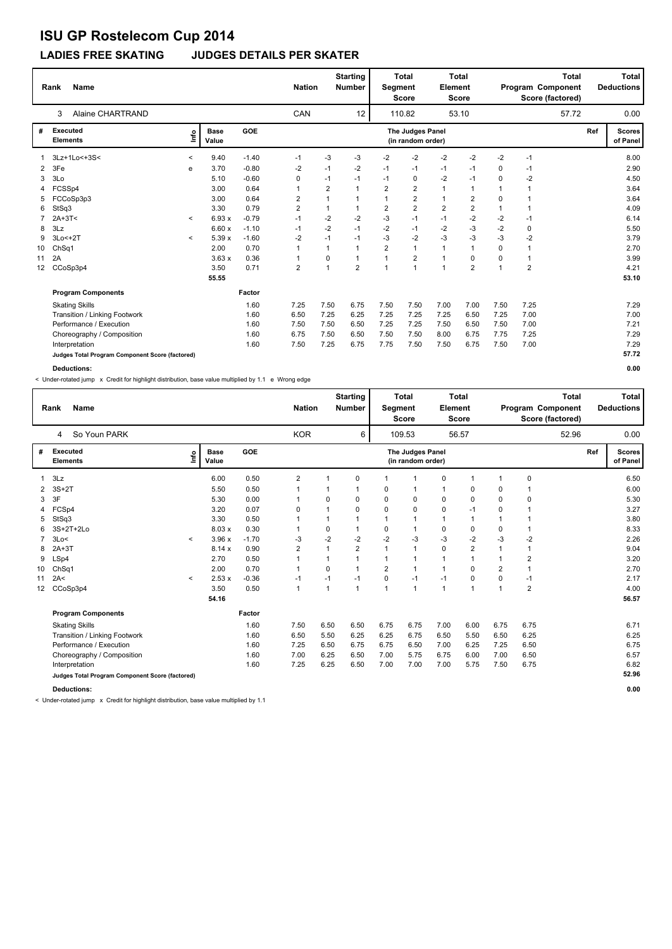### **LADIES FREE SKATING JUDGES DETAILS PER SKATER**

|                | <b>Name</b><br>Rank                             |              |                      |         | <b>Nation</b> |                | <b>Starting</b><br><b>Number</b> | Segment        | <b>Total</b><br><b>Score</b>          | Element        | <b>Total</b><br><b>Score</b> |                | <b>Total</b><br>Program Component<br>Score (factored) |     | Total<br><b>Deductions</b> |
|----------------|-------------------------------------------------|--------------|----------------------|---------|---------------|----------------|----------------------------------|----------------|---------------------------------------|----------------|------------------------------|----------------|-------------------------------------------------------|-----|----------------------------|
|                | <b>Alaine CHARTRAND</b><br>3                    |              |                      |         | CAN           |                | 12                               |                | 110.82                                |                | 53.10                        |                | 57.72                                                 |     | 0.00                       |
| #              | <b>Executed</b><br><b>Elements</b>              | ١nf٥         | <b>Base</b><br>Value | GOE     |               |                |                                  |                | The Judges Panel<br>(in random order) |                |                              |                |                                                       | Ref | <b>Scores</b><br>of Panel  |
|                | 3Lz+1Lo<+3S<                                    | $\,<\,$      | 9.40                 | $-1.40$ | $-1$          | $-3$           | -3                               | -2             | -2                                    | $-2$           | $-2$                         | -2             | $-1$                                                  |     | 8.00                       |
| $\overline{2}$ | 3Fe                                             | e            | 3.70                 | $-0.80$ | -2            | $-1$           | $-2$                             | $-1$           | $-1$                                  | $-1$           | $-1$                         | 0              | $-1$                                                  |     | 2.90                       |
| 3              | 3Lo                                             |              | 5.10                 | $-0.60$ | 0             | $-1$           | $-1$                             | $-1$           | 0                                     | $-2$           | $-1$                         | $\Omega$       | $-2$                                                  |     | 4.50                       |
| 4              | FCSSp4                                          |              | 3.00                 | 0.64    | 1             | $\overline{2}$ | $\overline{1}$                   | $\overline{2}$ | $\overline{2}$                        | $\mathbf{1}$   | 1                            |                | 1                                                     |     | 3.64                       |
| 5              | FCCoSp3p3                                       |              | 3.00                 | 0.64    | 2             | 1              |                                  | $\overline{1}$ | $\overline{2}$                        | 1              | $\overline{2}$               | $\mathbf 0$    |                                                       |     | 3.64                       |
| 6              | StSq3                                           |              | 3.30                 | 0.79    | 2             | 1              | $\mathbf{1}$                     | $\overline{2}$ | $\overline{2}$                        | $\overline{2}$ | $\overline{2}$               |                | 1                                                     |     | 4.09                       |
|                | $2A+3T<$                                        | $\prec$      | 6.93x                | $-0.79$ | $-1$          | $-2$           | $-2$                             | -3             | $-1$                                  | $-1$           | $-2$                         | $-2$           | $-1$                                                  |     | 6.14                       |
| 8              | 3Lz                                             |              | 6.60x                | $-1.10$ | $-1$          | $-2$           | $-1$                             | $-2$           | $-1$                                  | $-2$           | $-3$                         | $-2$           | 0                                                     |     | 5.50                       |
| 9              | 3Lo<+2T                                         | $\checkmark$ | 5.39 x               | $-1.60$ | $-2$          | $-1$           | $-1$                             | -3             | $-2$                                  | $-3$           | $-3$                         | $-3$           | $-2$                                                  |     | 3.79                       |
| 10             | ChSq1                                           |              | 2.00                 | 0.70    |               | 1              | $\mathbf{1}$                     | $\overline{2}$ | $\overline{1}$                        | 1              | 1                            | $\Omega$       | 1                                                     |     | 2.70                       |
| 11             | 2A                                              |              | 3.63x                | 0.36    |               | 0              | $\mathbf{1}$                     | 1              | $\overline{2}$                        | 1              | 0                            | $\mathbf 0$    | 1                                                     |     | 3.99                       |
| 12             | CCoSp3p4                                        |              | 3.50                 | 0.71    | 2             | 1              | $\overline{2}$                   | $\overline{1}$ | $\overline{1}$                        | $\overline{1}$ | $\overline{2}$               | $\overline{1}$ | $\overline{2}$                                        |     | 4.21                       |
|                |                                                 |              | 55.55                |         |               |                |                                  |                |                                       |                |                              |                |                                                       |     | 53.10                      |
|                | <b>Program Components</b>                       |              |                      | Factor  |               |                |                                  |                |                                       |                |                              |                |                                                       |     |                            |
|                | <b>Skating Skills</b>                           |              |                      | 1.60    | 7.25          | 7.50           | 6.75                             | 7.50           | 7.50                                  | 7.00           | 7.00                         | 7.50           | 7.25                                                  |     | 7.29                       |
|                | <b>Transition / Linking Footwork</b>            |              |                      | 1.60    | 6.50          | 7.25           | 6.25                             | 7.25           | 7.25                                  | 7.25           | 6.50                         | 7.25           | 7.00                                                  |     | 7.00                       |
|                | Performance / Execution                         |              |                      | 1.60    | 7.50          | 7.50           | 6.50                             | 7.25           | 7.25                                  | 7.50           | 6.50                         | 7.50           | 7.00                                                  |     | 7.21                       |
|                | Choreography / Composition                      |              |                      | 1.60    | 6.75          | 7.50           | 6.50                             | 7.50           | 7.50                                  | 8.00           | 6.75                         | 7.75           | 7.25                                                  |     | 7.29                       |
|                | Interpretation                                  |              |                      | 1.60    | 7.50          | 7.25           | 6.75                             | 7.75           | 7.50                                  | 7.50           | 6.75                         | 7.50           | 7.00                                                  |     | 7.29                       |
|                | Judges Total Program Component Score (factored) |              |                      |         |               |                |                                  |                |                                       |                |                              |                |                                                       |     | 57.72                      |
|                | <b>Deductions:</b>                              |              |                      |         |               |                |                                  |                |                                       |                |                              |                |                                                       |     | 0.00                       |

< Under-rotated jump x Credit for highlight distribution, base value multiplied by 1.1 e Wrong edge

|    | <b>Name</b><br>Rank                             |              |                      |            | <b>Nation</b>  |      | <b>Starting</b><br><b>Number</b> | Segment        | Total<br><b>Score</b>                 | Element      | <b>Total</b><br><b>Score</b> |                | <b>Total</b><br>Program Component<br>Score (factored) |     | Total<br><b>Deductions</b> |
|----|-------------------------------------------------|--------------|----------------------|------------|----------------|------|----------------------------------|----------------|---------------------------------------|--------------|------------------------------|----------------|-------------------------------------------------------|-----|----------------------------|
|    | So Youn PARK<br>4                               |              |                      |            | <b>KOR</b>     |      | 6                                |                | 109.53                                |              | 56.57                        |                | 52.96                                                 |     | 0.00                       |
| #  | Executed<br><b>Elements</b>                     | lnfo         | <b>Base</b><br>Value | <b>GOE</b> |                |      |                                  |                | The Judges Panel<br>(in random order) |              |                              |                |                                                       | Ref | <b>Scores</b><br>of Panel  |
| 1  | 3Lz                                             |              | 6.00                 | 0.50       | $\overline{2}$ |      | 0                                |                | 1                                     | 0            | $\mathbf{1}$                 | $\mathbf{1}$   | $\pmb{0}$                                             |     | 6.50                       |
| 2  | $3S+2T$                                         |              | 5.50                 | 0.50       |                |      | 1                                | 0              | 1                                     | $\mathbf{1}$ | 0                            | 0              |                                                       |     | 6.00                       |
| 3  | 3F                                              |              | 5.30                 | 0.00       | $\mathbf 1$    | 0    | 0                                | 0              | 0                                     | 0            | 0                            | $\Omega$       | $\mathbf 0$                                           |     | 5.30                       |
| 4  | FCSp4                                           |              | 3.20                 | 0.07       | $\mathbf 0$    |      | 0                                | 0              | 0                                     | 0            | $-1$                         | 0              |                                                       |     | 3.27                       |
| 5  | StSq3                                           |              | 3.30                 | 0.50       | $\mathbf 1$    |      | 1                                | 1              | $\mathbf{1}$                          | $\mathbf{1}$ | $\mathbf{1}$                 | 1              |                                                       |     | 3.80                       |
| 6  | 3S+2T+2Lo                                       |              | 8.03x                | 0.30       | $\mathbf 1$    | 0    | 1                                | 0              | 1                                     | 0            | 0                            | 0              | -1                                                    |     | 8.33                       |
| 7  | 3Lo<                                            | $\prec$      | 3.96x                | $-1.70$    | $-3$           | $-2$ | $-2$                             | $-2$           | -3                                    | $-3$         | $-2$                         | $-3$           | $-2$                                                  |     | 2.26                       |
| 8  | $2A+3T$                                         |              | 8.14x                | 0.90       | $\overline{2}$ |      | $\overline{2}$                   | 1              | 1                                     | $\mathbf 0$  | $\overline{2}$               | $\mathbf{1}$   |                                                       |     | 9.04                       |
| 9  | LSp4                                            |              | 2.70                 | 0.50       |                |      |                                  |                | $\mathbf{1}$                          | $\mathbf{1}$ | 1                            | 1              | $\overline{2}$                                        |     | 3.20                       |
| 10 | Ch <sub>Sq1</sub>                               |              | 2.00                 | 0.70       |                | 0    |                                  | $\overline{2}$ | 1                                     | $\mathbf{1}$ | $\Omega$                     | $\overline{2}$ |                                                       |     | 2.70                       |
| 11 | 2A<                                             | $\checkmark$ | 2.53x                | $-0.36$    | -1             | $-1$ | $-1$                             | 0              | $-1$                                  | $-1$         | 0                            | $\mathbf 0$    | $-1$                                                  |     | 2.17                       |
| 12 | CCoSp3p4                                        |              | 3.50                 | 0.50       | $\mathbf{1}$   | 1    | $\mathbf{1}$                     | 1              | $\overline{1}$                        | $\mathbf{1}$ | $\overline{1}$               | $\overline{1}$ | $\overline{2}$                                        |     | 4.00                       |
|    |                                                 |              | 54.16                |            |                |      |                                  |                |                                       |              |                              |                |                                                       |     | 56.57                      |
|    | <b>Program Components</b>                       |              |                      | Factor     |                |      |                                  |                |                                       |              |                              |                |                                                       |     |                            |
|    | <b>Skating Skills</b>                           |              |                      | 1.60       | 7.50           | 6.50 | 6.50                             | 6.75           | 6.75                                  | 7.00         | 6.00                         | 6.75           | 6.75                                                  |     | 6.71                       |
|    | Transition / Linking Footwork                   |              |                      | 1.60       | 6.50           | 5.50 | 6.25                             | 6.25           | 6.75                                  | 6.50         | 5.50                         | 6.50           | 6.25                                                  |     | 6.25                       |
|    | Performance / Execution                         |              |                      | 1.60       | 7.25           | 6.50 | 6.75                             | 6.75           | 6.50                                  | 7.00         | 6.25                         | 7.25           | 6.50                                                  |     | 6.75                       |
|    | Choreography / Composition                      |              |                      | 1.60       | 7.00           | 6.25 | 6.50                             | 7.00           | 5.75                                  | 6.75         | 6.00                         | 7.00           | 6.50                                                  |     | 6.57                       |
|    | Interpretation                                  |              |                      | 1.60       | 7.25           | 6.25 | 6.50                             | 7.00           | 7.00                                  | 7.00         | 5.75                         | 7.50           | 6.75                                                  |     | 6.82                       |
|    | Judges Total Program Component Score (factored) |              |                      |            |                |      |                                  |                |                                       |              |                              |                |                                                       |     | 52.96                      |
|    | <b>Deductions:</b>                              |              |                      |            |                |      |                                  |                |                                       |              |                              |                |                                                       |     | 0.00                       |

< Under-rotated jump x Credit for highlight distribution, base value multiplied by 1.1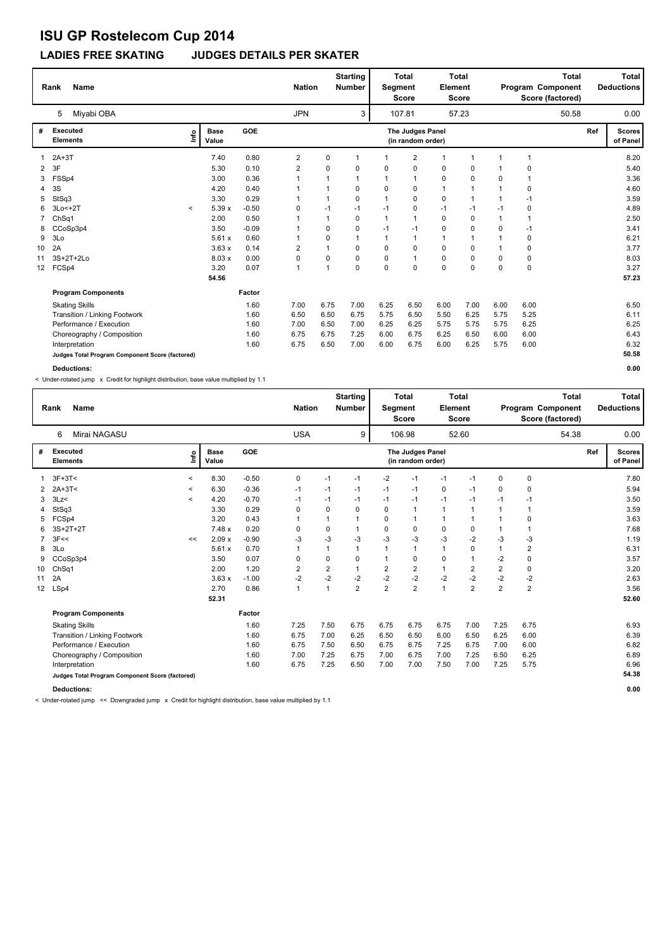### **LADIES FREE SKATING JUDGES DETAILS PER SKATER**

|                | <b>Name</b><br>Rank                             |         |                      |            | <b>Nation</b>  |              | <b>Starting</b><br><b>Number</b> | Segment     | <b>Total</b><br><b>Score</b>          | Element        | <b>Total</b><br><b>Score</b> |             | <b>Total</b><br>Program Component<br>Score (factored) |     | Total<br><b>Deductions</b> |
|----------------|-------------------------------------------------|---------|----------------------|------------|----------------|--------------|----------------------------------|-------------|---------------------------------------|----------------|------------------------------|-------------|-------------------------------------------------------|-----|----------------------------|
|                | Miyabi OBA<br>5                                 |         |                      |            | <b>JPN</b>     |              | 3                                |             | 107.81                                |                | 57.23                        |             | 50.58                                                 |     | 0.00                       |
| #              | <b>Executed</b><br><b>Elements</b>              | ١nf٥    | <b>Base</b><br>Value | <b>GOE</b> |                |              |                                  |             | The Judges Panel<br>(in random order) |                |                              |             |                                                       | Ref | <b>Scores</b><br>of Panel  |
|                | $2A+3T$                                         |         | 7.40                 | 0.80       | $\overline{2}$ | 0            | $\overline{1}$                   |             | 2                                     | $\overline{1}$ | $\mathbf{1}$                 | 1           | $\overline{1}$                                        |     | 8.20                       |
| $\overline{2}$ | 3F                                              |         | 5.30                 | 0.10       | $\overline{2}$ | 0            | 0                                | $\Omega$    | 0                                     | 0              | 0                            |             | 0                                                     |     | 5.40                       |
| 3              | FSSp4                                           |         | 3.00                 | 0.36       | $\mathbf 1$    | $\mathbf{1}$ | 1                                |             | $\overline{1}$                        | 0              | 0                            | 0           | 1                                                     |     | 3.36                       |
| 4              | 3S                                              |         | 4.20                 | 0.40       |                | 1            | $\mathbf 0$                      | $\mathbf 0$ | $\mathbf 0$                           | $\mathbf{1}$   | 1                            | 1           | 0                                                     |     | 4.60                       |
| 5              | StSq3                                           |         | 3.30                 | 0.29       |                | $\mathbf{1}$ | 0                                |             | 0                                     | 0              | $\mathbf{1}$                 |             | $-1$                                                  |     | 3.59                       |
| 6              | $3Lo < +2T$                                     | $\prec$ | 5.39x                | $-0.50$    | $\Omega$       | $-1$         | -1                               | $-1$        | 0                                     | $-1$           | $-1$                         | $-1$        | 0                                                     |     | 4.89                       |
|                | ChSq1                                           |         | 2.00                 | 0.50       |                | $\mathbf{1}$ | $\mathbf 0$                      |             | $\overline{1}$                        | $\mathbf 0$    | 0                            | $\mathbf 1$ | 1                                                     |     | 2.50                       |
| 8              | CCoSp3p4                                        |         | 3.50                 | $-0.09$    |                | 0            | 0                                | -1          | -1                                    | 0              | 0                            | $\Omega$    | $-1$                                                  |     | 3.41                       |
| 9              | 3Lo                                             |         | 5.61x                | 0.60       |                | 0            | 1                                |             | 1                                     | $\overline{1}$ | 1                            |             | 0                                                     |     | 6.21                       |
| 10             | 2A                                              |         | 3.63x                | 0.14       | 2              | $\mathbf{1}$ | 0                                | $\Omega$    | 0                                     | 0              | 0                            |             | 0                                                     |     | 3.77                       |
| 11             | 3S+2T+2Lo                                       |         | 8.03x                | 0.00       | 0              | 0            | 0                                | 0           | $\overline{1}$                        | $\pmb{0}$      | 0                            | $\Omega$    | 0                                                     |     | 8.03                       |
| 12             | FCSp4                                           |         | 3.20                 | 0.07       | $\mathbf{1}$   | $\mathbf{1}$ | $\Omega$                         | $\Omega$    | $\Omega$                              | $\mathbf 0$    | $\Omega$                     | $\Omega$    | $\mathbf 0$                                           |     | 3.27                       |
|                |                                                 |         | 54.56                |            |                |              |                                  |             |                                       |                |                              |             |                                                       |     | 57.23                      |
|                | <b>Program Components</b>                       |         |                      | Factor     |                |              |                                  |             |                                       |                |                              |             |                                                       |     |                            |
|                | <b>Skating Skills</b>                           |         |                      | 1.60       | 7.00           | 6.75         | 7.00                             | 6.25        | 6.50                                  | 6.00           | 7.00                         | 6.00        | 6.00                                                  |     | 6.50                       |
|                | Transition / Linking Footwork                   |         |                      | 1.60       | 6.50           | 6.50         | 6.75                             | 5.75        | 6.50                                  | 5.50           | 6.25                         | 5.75        | 5.25                                                  |     | 6.11                       |
|                | Performance / Execution                         |         |                      | 1.60       | 7.00           | 6.50         | 7.00                             | 6.25        | 6.25                                  | 5.75           | 5.75                         | 5.75        | 6.25                                                  |     | 6.25                       |
|                | Choreography / Composition                      |         |                      | 1.60       | 6.75           | 6.75         | 7.25                             | 6.00        | 6.75                                  | 6.25           | 6.50                         | 6.00        | 6.00                                                  |     | 6.43                       |
|                | Interpretation                                  |         |                      | 1.60       | 6.75           | 6.50         | 7.00                             | 6.00        | 6.75                                  | 6.00           | 6.25                         | 5.75        | 6.00                                                  |     | 6.32                       |
|                | Judges Total Program Component Score (factored) |         |                      |            |                |              |                                  |             |                                       |                |                              |             |                                                       |     | 50.58                      |
|                | Deductions:                                     |         |                      |            |                |              |                                  |             |                                       |                |                              |             |                                                       |     | 0.00                       |

< Under-rotated jump x Credit for highlight distribution, base value multiplied by 1.1

|                 | Rank<br><b>Name</b>                             |              |                      |            | <b>Nation</b>  |                | <b>Starting</b><br><b>Number</b> | <b>Segment</b> | <b>Total</b><br><b>Score</b>          | <b>Element</b> | <b>Total</b><br>Score |                | <b>Total</b><br>Program Component<br>Score (factored) |     | Total<br><b>Deductions</b> |
|-----------------|-------------------------------------------------|--------------|----------------------|------------|----------------|----------------|----------------------------------|----------------|---------------------------------------|----------------|-----------------------|----------------|-------------------------------------------------------|-----|----------------------------|
|                 | Mirai NAGASU<br>6                               |              |                      |            | <b>USA</b>     |                | 9                                |                | 106.98                                |                | 52.60                 |                | 54.38                                                 |     | 0.00                       |
| #               | Executed<br><b>Elements</b>                     | lnfo         | <b>Base</b><br>Value | <b>GOE</b> |                |                |                                  |                | The Judges Panel<br>(in random order) |                |                       |                |                                                       | Ref | <b>Scores</b><br>of Panel  |
| 1               | $3F+3T<$                                        | $\prec$      | 8.30                 | $-0.50$    | 0              | $-1$           | $-1$                             | -2             | $-1$                                  | $-1$           | $-1$                  | 0              | 0                                                     |     | 7.80                       |
|                 | 2 $2A+3T<$                                      | $\checkmark$ | 6.30                 | $-0.36$    | -1             | $-1$           | $-1$                             | $-1$           | $-1$                                  | 0              | $-1$                  | $\mathbf 0$    | 0                                                     |     | 5.94                       |
| 3               | 3Lz                                             | $\checkmark$ | 4.20                 | $-0.70$    | $-1$           | $-1$           | $-1$                             | $-1$           | $-1$                                  | $-1$           | $-1$                  | $-1$           | $-1$                                                  |     | 3.50                       |
| 4               | StSq3                                           |              | 3.30                 | 0.29       | 0              | 0              | 0                                | 0              | $\mathbf{1}$                          | $\mathbf{1}$   | 1                     |                | 1                                                     |     | 3.59                       |
| 5               | FCSp4                                           |              | 3.20                 | 0.43       |                | -1             | 1                                | 0              | $\mathbf{1}$                          | $\overline{1}$ | 1                     |                | 0                                                     |     | 3.63                       |
| 6               | 3S+2T+2T                                        |              | 7.48x                | 0.20       | 0              | 0              | 1                                | 0              | 0                                     | 0              | 0                     |                | 1                                                     |     | 7.68                       |
| 7               | 3F<<                                            | <<           | 2.09x                | $-0.90$    | $-3$           | $-3$           | $-3$                             | -3             | $-3$                                  | $-3$           | $-2$                  | $-3$           | $-3$                                                  |     | 1.19                       |
| 8               | 3Lo                                             |              | 5.61x                | 0.70       | $\overline{1}$ | $\mathbf 1$    | 1                                | $\mathbf{1}$   | $\mathbf{1}$                          | $\mathbf{1}$   | $\Omega$              | $\mathbf{1}$   | 2                                                     |     | 6.31                       |
| 9               | CCoSp3p4                                        |              | 3.50                 | 0.07       | 0              | 0              | 0                                | 1              | 0                                     | $\mathbf 0$    | 1                     | $-2$           | 0                                                     |     | 3.57                       |
| 10              | ChSq1                                           |              | 2.00                 | 1.20       | $\overline{2}$ | $\overline{2}$ | 1                                | $\overline{2}$ | $\overline{2}$                        | $\mathbf{1}$   | 2                     | $\overline{2}$ | $\mathbf 0$                                           |     | 3.20                       |
| 11              | 2A                                              |              | 3.63x                | $-1.00$    | $-2$           | $-2$           | $-2$                             | $-2$           | $-2$                                  | $-2$           | $-2$                  | $-2$           | $-2$                                                  |     | 2.63                       |
| 12 <sup>2</sup> | LSp4                                            |              | 2.70                 | 0.86       | $\overline{1}$ | 1              | $\overline{2}$                   | $\overline{2}$ | $\overline{2}$                        | $\overline{1}$ | $\overline{2}$        | $\overline{2}$ | $\overline{2}$                                        |     | 3.56                       |
|                 |                                                 |              | 52.31                |            |                |                |                                  |                |                                       |                |                       |                |                                                       |     | 52.60                      |
|                 | <b>Program Components</b>                       |              |                      | Factor     |                |                |                                  |                |                                       |                |                       |                |                                                       |     |                            |
|                 | <b>Skating Skills</b>                           |              |                      | 1.60       | 7.25           | 7.50           | 6.75                             | 6.75           | 6.75                                  | 6.75           | 7.00                  | 7.25           | 6.75                                                  |     | 6.93                       |
|                 | Transition / Linking Footwork                   |              |                      | 1.60       | 6.75           | 7.00           | 6.25                             | 6.50           | 6.50                                  | 6.00           | 6.50                  | 6.25           | 6.00                                                  |     | 6.39                       |
|                 | Performance / Execution                         |              |                      | 1.60       | 6.75           | 7.50           | 6.50                             | 6.75           | 6.75                                  | 7.25           | 6.75                  | 7.00           | 6.00                                                  |     | 6.82                       |
|                 | Choreography / Composition                      |              |                      | 1.60       | 7.00           | 7.25           | 6.75                             | 7.00           | 6.75                                  | 7.00           | 7.25                  | 6.50           | 6.25                                                  |     | 6.89                       |
|                 | Interpretation                                  |              |                      | 1.60       | 6.75           | 7.25           | 6.50                             | 7.00           | 7.00                                  | 7.50           | 7.00                  | 7.25           | 5.75                                                  |     | 6.96                       |
|                 | Judges Total Program Component Score (factored) |              |                      |            |                |                |                                  |                |                                       |                |                       |                |                                                       |     | 54.38                      |
|                 |                                                 |              |                      |            |                |                |                                  |                |                                       |                |                       |                |                                                       |     |                            |

**Deductions: 0.00**

< Under-rotated jump << Downgraded jump x Credit for highlight distribution, base value multiplied by 1.1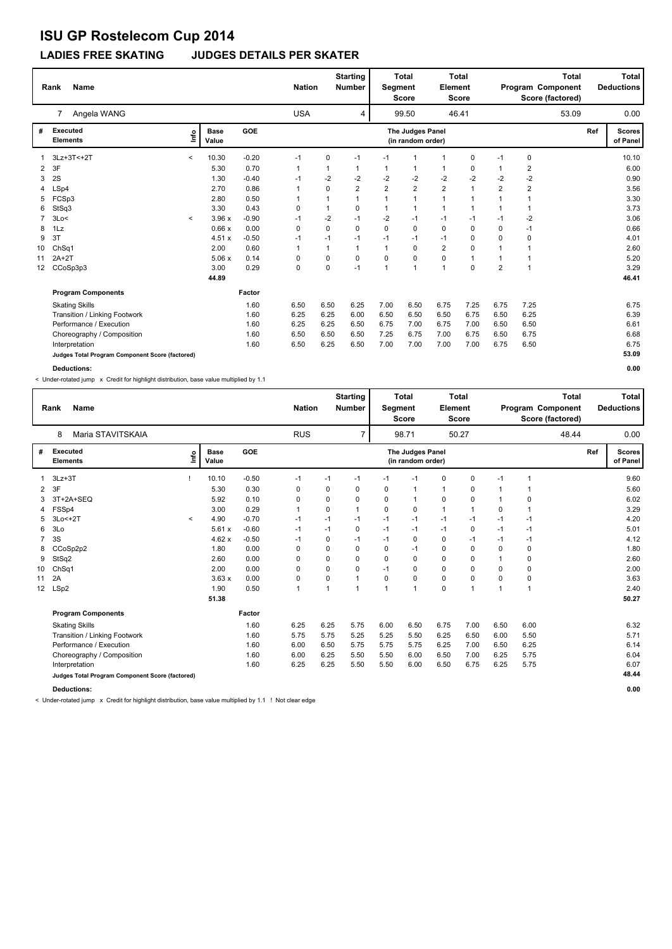### **LADIES FREE SKATING JUDGES DETAILS PER SKATER**

|    | <b>Name</b><br>Rank                             |         |                      |            | <b>Nation</b> |              | <b>Starting</b><br><b>Number</b> | <b>Segment</b> | <b>Total</b><br><b>Score</b>          | Element                 | Total<br><b>Score</b> |                | <b>Total</b><br>Program Component<br>Score (factored) |     | Total<br><b>Deductions</b> |
|----|-------------------------------------------------|---------|----------------------|------------|---------------|--------------|----------------------------------|----------------|---------------------------------------|-------------------------|-----------------------|----------------|-------------------------------------------------------|-----|----------------------------|
|    | Angela WANG<br>7                                |         |                      |            | <b>USA</b>    |              | 4                                |                | 99.50                                 |                         | 46.41                 |                | 53.09                                                 |     | 0.00                       |
| #  | <b>Executed</b><br><b>Elements</b>              | ١nf٥    | <b>Base</b><br>Value | <b>GOE</b> |               |              |                                  |                | The Judges Panel<br>(in random order) |                         |                       |                |                                                       | Ref | <b>Scores</b><br>of Panel  |
|    | 3Lz+3T<+2T                                      | $\prec$ | 10.30                | $-0.20$    | $-1$          | 0            | $-1$                             | $-1$           | 1                                     | 1                       | 0                     | $-1$           | 0                                                     |     | 10.10                      |
| 2  | 3F                                              |         | 5.30                 | 0.70       | 1             | 1            |                                  | 1              | 1                                     |                         | 0                     | 1              | 2                                                     |     | 6.00                       |
| 3  | 2S                                              |         | 1.30                 | $-0.40$    | $-1$          | $-2$         | -2                               | $-2$           | $-2$                                  | $-2$                    | $-2$                  | -2             | $-2$                                                  |     | 0.90                       |
| 4  | LSp4                                            |         | 2.70                 | 0.86       | 1             | 0            | $\overline{2}$                   | $\overline{2}$ | $\overline{2}$                        | $\overline{\mathbf{c}}$ | 1                     | $\overline{2}$ | $\overline{2}$                                        |     | 3.56                       |
| 5  | FCSp3                                           |         | 2.80                 | 0.50       |               | 1            |                                  |                | $\mathbf{1}$                          | 1                       | 1                     | 1              |                                                       |     | 3.30                       |
| 6  | StSq3                                           |         | 3.30                 | 0.43       | 0             | $\mathbf{1}$ | 0                                | 1              | $\mathbf{1}$                          | 1                       |                       | 1              |                                                       |     | 3.73                       |
|    | 3Lo<                                            | $\prec$ | 3.96x                | $-0.90$    | $-1$          | $-2$         | $-1$                             | $-2$           | $-1$                                  | $-1$                    | $-1$                  | $-1$           | $-2$                                                  |     | 3.06                       |
| 8  | 1Lz                                             |         | 0.66x                | 0.00       | 0             | 0            | 0                                | $\Omega$       | 0                                     | 0                       | 0                     | 0              | $-1$                                                  |     | 0.66                       |
| 9  | 3T                                              |         | 4.51x                | $-0.50$    | $-1$          | $-1$         | $-1$                             | $-1$           | $-1$                                  | $-1$                    | 0                     | 0              | 0                                                     |     | 4.01                       |
| 10 | ChSq1                                           |         | 2.00                 | 0.60       | $\mathbf{1}$  | 1            | $\mathbf 1$                      | $\mathbf 1$    | $\Omega$                              | $\overline{2}$          | 0                     | 1              |                                                       |     | 2.60                       |
| 11 | $2A+2T$                                         |         | 5.06x                | 0.14       | 0             | 0            | $\mathbf 0$                      | $\Omega$       | $\mathbf 0$                           | 0                       | 1                     | 1              |                                                       |     | 5.20                       |
| 12 | CCoSp3p3                                        |         | 3.00                 | 0.29       | 0             | 0            | $-1$                             | $\overline{1}$ | $\mathbf{1}$                          | $\overline{1}$          | $\mathbf 0$           | $\overline{2}$ | 1                                                     |     | 3.29                       |
|    |                                                 |         | 44.89                |            |               |              |                                  |                |                                       |                         |                       |                |                                                       |     | 46.41                      |
|    | <b>Program Components</b>                       |         |                      | Factor     |               |              |                                  |                |                                       |                         |                       |                |                                                       |     |                            |
|    | <b>Skating Skills</b>                           |         |                      | 1.60       | 6.50          | 6.50         | 6.25                             | 7.00           | 6.50                                  | 6.75                    | 7.25                  | 6.75           | 7.25                                                  |     | 6.75                       |
|    | Transition / Linking Footwork                   |         |                      | 1.60       | 6.25          | 6.25         | 6.00                             | 6.50           | 6.50                                  | 6.50                    | 6.75                  | 6.50           | 6.25                                                  |     | 6.39                       |
|    | Performance / Execution                         |         |                      | 1.60       | 6.25          | 6.25         | 6.50                             | 6.75           | 7.00                                  | 6.75                    | 7.00                  | 6.50           | 6.50                                                  |     | 6.61                       |
|    | Choreography / Composition                      |         |                      | 1.60       | 6.50          | 6.50         | 6.50                             | 7.25           | 6.75                                  | 7.00                    | 6.75                  | 6.50           | 6.75                                                  |     | 6.68                       |
|    | Interpretation                                  |         |                      | 1.60       | 6.50          | 6.25         | 6.50                             | 7.00           | 7.00                                  | 7.00                    | 7.00                  | 6.75           | 6.50                                                  |     | 6.75                       |
|    | Judges Total Program Component Score (factored) |         |                      |            |               |              |                                  |                |                                       |                         |                       |                |                                                       |     | 53.09                      |
|    | <b>Deductions:</b>                              |         |                      |            |               |              |                                  |                |                                       |                         |                       |                |                                                       |     | 0.00                       |

< Under-rotated jump x Credit for highlight distribution, base value multiplied by 1.1

|                 | <b>Name</b><br>Rank                             |         |                      |            | <b>Nation</b> |             | <b>Starting</b><br><b>Number</b> | <b>Segment</b> | <b>Total</b><br><b>Score</b>          | Element      | <b>Total</b><br><b>Score</b> |          | <b>Total</b><br>Program Component<br>Score (factored) |     | Total<br><b>Deductions</b> |
|-----------------|-------------------------------------------------|---------|----------------------|------------|---------------|-------------|----------------------------------|----------------|---------------------------------------|--------------|------------------------------|----------|-------------------------------------------------------|-----|----------------------------|
|                 | Maria STAVITSKAIA<br>8                          |         |                      |            | <b>RUS</b>    |             | $\overline{7}$                   |                | 98.71                                 |              | 50.27                        |          | 48.44                                                 |     | 0.00                       |
| #               | Executed<br><b>Elements</b>                     | ١nf٥    | <b>Base</b><br>Value | <b>GOE</b> |               |             |                                  |                | The Judges Panel<br>(in random order) |              |                              |          |                                                       | Ref | <b>Scores</b><br>of Panel  |
|                 | $3Lz + 3T$                                      |         | 10.10                | $-0.50$    | $-1$          | -1          | $-1$                             | $-1$           | $-1$                                  | 0            | 0                            | $-1$     | 1                                                     |     | 9.60                       |
| 2               | 3F                                              |         | 5.30                 | 0.30       | 0             | 0           | $\Omega$                         | 0              | -1                                    | $\mathbf{1}$ | 0                            | -1       | 1                                                     |     | 5.60                       |
| 3               | 3T+2A+SEQ                                       |         | 5.92                 | 0.10       | 0             | 0           | $\Omega$                         | 0              | $\mathbf{1}$                          | 0            | 0                            | -1       | 0                                                     |     | 6.02                       |
| 4               | FSSp4                                           |         | 3.00                 | 0.29       | $\mathbf{1}$  | 0           | 1                                | $\Omega$       | 0                                     | $\mathbf{1}$ | $\mathbf{1}$                 | $\Omega$ | 1                                                     |     | 3.29                       |
| 5               | 3Lo<+2T                                         | $\prec$ | 4.90                 | $-0.70$    | $-1$          | $-1$        | $-1$                             | $-1$           | $-1$                                  | $-1$         | $-1$                         | $-1$     | $-1$                                                  |     | 4.20                       |
| 6               | 3 <sub>LO</sub>                                 |         | 5.61x                | $-0.60$    | $-1$          | $-1$        | 0                                | $-1$           | $-1$                                  | $-1$         | 0                            | $-1$     | $-1$                                                  |     | 5.01                       |
| 7               | 3S                                              |         | 4.62x                | $-0.50$    | $-1$          | $\mathbf 0$ | $-1$                             | $-1$           | 0                                     | $\pmb{0}$    | $-1$                         | $-1$     | $-1$                                                  |     | 4.12                       |
| 8               | CCoSp2p2                                        |         | 1.80                 | 0.00       | $\Omega$      | 0           | $\Omega$                         | 0              | $-1$                                  | 0            | $\Omega$                     | $\Omega$ | 0                                                     |     | 1.80                       |
| 9               | StSq2                                           |         | 2.60                 | 0.00       | 0             | 0           | $\Omega$                         | 0              | $\mathbf 0$                           | $\mathbf 0$  | $\Omega$                     |          | 0                                                     |     | 2.60                       |
| 10 <sup>1</sup> | Ch <sub>Sq1</sub>                               |         | 2.00                 | 0.00       | 0             | $\mathbf 0$ | $\Omega$                         | $-1$           | $\mathbf 0$                           | $\mathbf 0$  | $\Omega$                     | $\Omega$ | 0                                                     |     | 2.00                       |
| 11              | 2A                                              |         | 3.63x                | 0.00       | 0             | 0           | 1                                | 0              | $\mathbf 0$                           | $\mathbf 0$  | 0                            | $\Omega$ | 0                                                     |     | 3.63                       |
| 12 <sup>2</sup> | LSp2                                            |         | 1.90                 | 0.50       | $\mathbf{1}$  | 1           | 1                                | $\overline{ }$ | $\mathbf{1}$                          | $\mathbf 0$  | 1                            | 1        | 1                                                     |     | 2.40                       |
|                 |                                                 |         | 51.38                |            |               |             |                                  |                |                                       |              |                              |          |                                                       |     | 50.27                      |
|                 | <b>Program Components</b>                       |         |                      | Factor     |               |             |                                  |                |                                       |              |                              |          |                                                       |     |                            |
|                 | <b>Skating Skills</b>                           |         |                      | 1.60       | 6.25          | 6.25        | 5.75                             | 6.00           | 6.50                                  | 6.75         | 7.00                         | 6.50     | 6.00                                                  |     | 6.32                       |
|                 | Transition / Linking Footwork                   |         |                      | 1.60       | 5.75          | 5.75        | 5.25                             | 5.25           | 5.50                                  | 6.25         | 6.50                         | 6.00     | 5.50                                                  |     | 5.71                       |
|                 | Performance / Execution                         |         |                      | 1.60       | 6.00          | 6.50        | 5.75                             | 5.75           | 5.75                                  | 6.25         | 7.00                         | 6.50     | 6.25                                                  |     | 6.14                       |
|                 | Choreography / Composition                      |         |                      | 1.60       | 6.00          | 6.25        | 5.50                             | 5.50           | 6.00                                  | 6.50         | 7.00                         | 6.25     | 5.75                                                  |     | 6.04                       |
|                 | Interpretation                                  |         |                      | 1.60       | 6.25          | 6.25        | 5.50                             | 5.50           | 6.00                                  | 6.50         | 6.75                         | 6.25     | 5.75                                                  |     | 6.07                       |
|                 | Judges Total Program Component Score (factored) |         |                      |            |               |             |                                  |                |                                       |              |                              |          |                                                       |     | 48.44                      |

**Deductions: 0.00**

< Under-rotated jump x Credit for highlight distribution, base value multiplied by 1.1 ! Not clear edge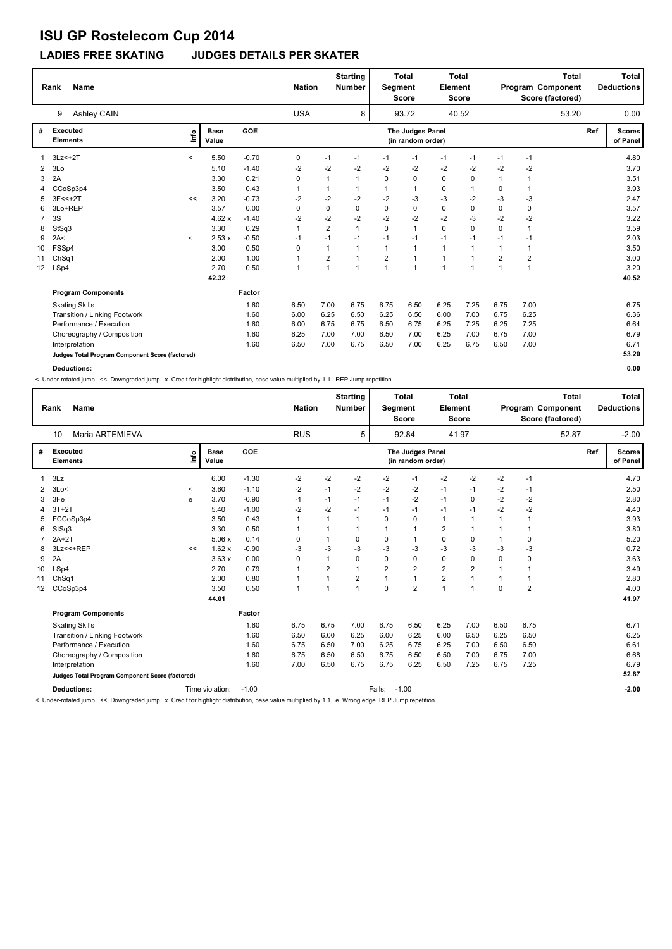### **LADIES FREE SKATING JUDGES DETAILS PER SKATER**

|                | <b>Name</b><br>Rank                             |         |                      |         | <b>Nation</b> |                         | <b>Starting</b><br><b>Number</b> | Segment                 | <b>Total</b><br><b>Score</b>          | Element        | <b>Total</b><br><b>Score</b> |                | <b>Total</b><br>Program Component<br>Score (factored) |     | <b>Total</b><br><b>Deductions</b> |
|----------------|-------------------------------------------------|---------|----------------------|---------|---------------|-------------------------|----------------------------------|-------------------------|---------------------------------------|----------------|------------------------------|----------------|-------------------------------------------------------|-----|-----------------------------------|
|                | Ashley CAIN<br>9                                |         |                      |         | <b>USA</b>    |                         | 8                                |                         | 93.72                                 |                | 40.52                        |                | 53.20                                                 |     | 0.00                              |
| #              | <b>Executed</b><br><b>Elements</b>              | ١nf٥    | <b>Base</b><br>Value | GOE     |               |                         |                                  |                         | The Judges Panel<br>(in random order) |                |                              |                |                                                       | Ref | <b>Scores</b><br>of Panel         |
|                | $3Lz<+2T$                                       | $\prec$ | 5.50                 | $-0.70$ | 0             | $-1$                    | $-1$                             | $-1$                    | $-1$                                  | $-1$           | $-1$                         | $-1$           | $-1$                                                  |     | 4.80                              |
| $\overline{2}$ | 3Lo                                             |         | 5.10                 | $-1.40$ | $-2$          | $-2$                    | $-2$                             | $-2$                    | $-2$                                  | $-2$           | $-2$                         | $-2$           | $-2$                                                  |     | 3.70                              |
| 3              | 2A                                              |         | 3.30                 | 0.21    | 0             | 1                       | $\overline{1}$                   | $\Omega$                | $\Omega$                              | 0              | 0                            | $\overline{1}$ | 1                                                     |     | 3.51                              |
| 4              | CCoSp3p4                                        |         | 3.50                 | 0.43    | 1             | 1                       |                                  |                         | $\overline{1}$                        | 0              | 1                            | 0              | 1                                                     |     | 3.93                              |
| 5.             | $3F<<+2T$                                       | <<      | 3.20                 | $-0.73$ | -2            | $-2$                    | -2                               | $-2$                    | $-3$                                  | $-3$           | $-2$                         | $-3$           | $-3$                                                  |     | 2.47                              |
| 6              | 3Lo+REP                                         |         | 3.57                 | 0.00    | 0             | 0                       | $\mathbf 0$                      | 0                       | 0                                     | 0              | 0                            | 0              | 0                                                     |     | 3.57                              |
| $\overline{7}$ | 3S                                              |         | 4.62x                | $-1.40$ | $-2$          | $-2$                    | $-2$                             | $-2$                    | $-2$                                  | $-2$           | $-3$                         | $-2$           | $-2$                                                  |     | 3.22                              |
| 8              | StSq3                                           |         | 3.30                 | 0.29    | 1             | $\overline{\mathbf{c}}$ | $\overline{1}$                   | $\mathbf 0$             | $\overline{1}$                        | 0              | $\mathbf 0$                  | 0              | 1                                                     |     | 3.59                              |
| 9              | 2A<                                             | $\prec$ | 2.53x                | $-0.50$ | $-1$          | $-1$                    | $-1$                             | $-1$                    | $-1$                                  | $-1$           | $-1$                         | $-1$           | $-1$                                                  |     | 2.03                              |
| 10             | FSSp4                                           |         | 3.00                 | 0.50    | 0             | $\mathbf{1}$            |                                  |                         | $\overline{1}$                        | $\mathbf{1}$   |                              | 1              |                                                       |     | 3.50                              |
| 11             | ChSq1                                           |         | 2.00                 | 1.00    | $\mathbf{1}$  | $\overline{\mathbf{c}}$ | $\overline{1}$                   | $\overline{\mathbf{c}}$ | $\overline{1}$                        | 1              |                              | 2              | 2                                                     |     | 3.00                              |
| 12             | LSp4                                            |         | 2.70                 | 0.50    | $\mathbf{1}$  | $\mathbf{1}$            | $\overline{1}$                   | $\overline{1}$          | $\overline{1}$                        | $\overline{1}$ | $\overline{ }$               | 1              | 1                                                     |     | 3.20                              |
|                |                                                 |         | 42.32                |         |               |                         |                                  |                         |                                       |                |                              |                |                                                       |     | 40.52                             |
|                | <b>Program Components</b>                       |         |                      | Factor  |               |                         |                                  |                         |                                       |                |                              |                |                                                       |     |                                   |
|                | <b>Skating Skills</b>                           |         |                      | 1.60    | 6.50          | 7.00                    | 6.75                             | 6.75                    | 6.50                                  | 6.25           | 7.25                         | 6.75           | 7.00                                                  |     | 6.75                              |
|                | Transition / Linking Footwork                   |         |                      | 1.60    | 6.00          | 6.25                    | 6.50                             | 6.25                    | 6.50                                  | 6.00           | 7.00                         | 6.75           | 6.25                                                  |     | 6.36                              |
|                | Performance / Execution                         |         |                      | 1.60    | 6.00          | 6.75                    | 6.75                             | 6.50                    | 6.75                                  | 6.25           | 7.25                         | 6.25           | 7.25                                                  |     | 6.64                              |
|                | Choreography / Composition                      |         |                      | 1.60    | 6.25          | 7.00                    | 7.00                             | 6.50                    | 7.00                                  | 6.25           | 7.00                         | 6.75           | 7.00                                                  |     | 6.79                              |
|                | Interpretation                                  |         |                      | 1.60    | 6.50          | 7.00                    | 6.75                             | 6.50                    | 7.00                                  | 6.25           | 6.75                         | 6.50           | 7.00                                                  |     | 6.71                              |
|                | Judges Total Program Component Score (factored) |         |                      |         |               |                         |                                  |                         |                                       |                |                              |                |                                                       |     | 53.20                             |
|                | Deductions:                                     |         |                      |         |               |                         |                                  |                         |                                       |                |                              |                |                                                       |     | 0.00                              |

< Under-rotated jump << Downgraded jump x Credit for highlight distribution, base value multiplied by 1.1 REP Jump repetition

|    | Rank<br><b>Name</b>                             |              |                      |            | <b>Nation</b> |                | <b>Starting</b><br><b>Number</b> | Segment  | <b>Total</b><br><b>Score</b>          | Element        | <b>Total</b><br><b>Score</b> |             | <b>Total</b><br>Program Component<br>Score (factored) |     | <b>Total</b><br><b>Deductions</b> |
|----|-------------------------------------------------|--------------|----------------------|------------|---------------|----------------|----------------------------------|----------|---------------------------------------|----------------|------------------------------|-------------|-------------------------------------------------------|-----|-----------------------------------|
|    | Maria ARTEMIEVA<br>10                           |              |                      |            | <b>RUS</b>    |                | 5                                |          | 92.84                                 |                | 41.97                        |             | 52.87                                                 |     | $-2.00$                           |
| #  | Executed<br><b>Elements</b>                     | lnfo         | <b>Base</b><br>Value | <b>GOE</b> |               |                |                                  |          | The Judges Panel<br>(in random order) |                |                              |             |                                                       | Ref | <b>Scores</b><br>of Panel         |
| 1  | 3Lz                                             |              | 6.00                 | $-1.30$    | $-2$          | $-2$           | $-2$                             | $-2$     | $-1$                                  | $-2$           | $-2$                         | -2          | $-1$                                                  |     | 4.70                              |
| 2  | 3Lo<                                            | $\checkmark$ | 3.60                 | $-1.10$    | $-2$          | $-1$           | $-2$                             | -2       | -2                                    | $-1$           | $-1$                         | $-2$        | $-1$                                                  |     | 2.50                              |
| 3  | 3Fe                                             | e            | 3.70                 | $-0.90$    | $-1$          | $-1$           | $-1$                             | $-1$     | $-2$                                  | $-1$           | 0                            | $-2$        | $-2$                                                  |     | 2.80                              |
| 4  | $3T+2T$                                         |              | 5.40                 | $-1.00$    | $-2$          | $-2$           | $-1$                             | $-1$     | $-1$                                  | $-1$           | $-1$                         | $-2$        | $-2$                                                  |     | 4.40                              |
| 5  | FCCoSp3p4                                       |              | 3.50                 | 0.43       | $\mathbf{1}$  | 1              | $\mathbf{1}$                     | 0        | $\mathbf 0$                           | 1              | 1                            | 1           | $\overline{1}$                                        |     | 3.93                              |
| 6  | StSq3                                           |              | 3.30                 | 0.50       | 1             | 1              | 1                                | 1        | $\mathbf 1$                           | $\overline{2}$ | 1                            |             | 1                                                     |     | 3.80                              |
|    | $2A+2T$                                         |              | 5.06x                | 0.14       | 0             | 1              | 0                                | 0        | $\mathbf{1}$                          | $\pmb{0}$      | 0                            |             | 0                                                     |     | 5.20                              |
| 8  | 3Lz << +REP                                     | <<           | 1.62x                | $-0.90$    | $-3$          | -3             | $-3$                             | -3       | -3                                    | $-3$           | $-3$                         | -3          | $-3$                                                  |     | 0.72                              |
| 9  | 2A                                              |              | 3.63x                | 0.00       | 0             | $\mathbf{1}$   | 0                                | 0        | $\mathbf 0$                           | $\pmb{0}$      | 0                            | $\mathbf 0$ | 0                                                     |     | 3.63                              |
| 10 | LSp4                                            |              | 2.70                 | 0.79       |               | $\overline{2}$ | 1                                | 2        | $\overline{2}$                        | $\overline{2}$ | $\overline{\mathbf{c}}$      |             |                                                       |     | 3.49                              |
| 11 | ChSq1                                           |              | 2.00                 | 0.80       |               | $\mathbf{1}$   | $\overline{\mathbf{c}}$          |          | $\mathbf{1}$                          | $\overline{2}$ | 1                            |             |                                                       |     | 2.80                              |
| 12 | CCoSp3p4                                        |              | 3.50                 | 0.50       | 1             | $\overline{ }$ | 1                                | $\Omega$ | $\overline{2}$                        | $\overline{1}$ | $\overline{1}$               | $\Omega$    | $\overline{2}$                                        |     | 4.00                              |
|    |                                                 |              | 44.01                |            |               |                |                                  |          |                                       |                |                              |             |                                                       |     | 41.97                             |
|    | <b>Program Components</b>                       |              |                      | Factor     |               |                |                                  |          |                                       |                |                              |             |                                                       |     |                                   |
|    | <b>Skating Skills</b>                           |              |                      | 1.60       | 6.75          | 6.75           | 7.00                             | 6.75     | 6.50                                  | 6.25           | 7.00                         | 6.50        | 6.75                                                  |     | 6.71                              |
|    | Transition / Linking Footwork                   |              |                      | 1.60       | 6.50          | 6.00           | 6.25                             | 6.00     | 6.25                                  | 6.00           | 6.50                         | 6.25        | 6.50                                                  |     | 6.25                              |
|    | Performance / Execution                         |              |                      | 1.60       | 6.75          | 6.50           | 7.00                             | 6.25     | 6.75                                  | 6.25           | 7.00                         | 6.50        | 6.50                                                  |     | 6.61                              |
|    | Choreography / Composition                      |              |                      | 1.60       | 6.75          | 6.50           | 6.50                             | 6.75     | 6.50                                  | 6.50           | 7.00                         | 6.75        | 7.00                                                  |     | 6.68                              |
|    | Interpretation                                  |              |                      | 1.60       | 7.00          | 6.50           | 6.75                             | 6.75     | 6.25                                  | 6.50           | 7.25                         | 6.75        | 7.25                                                  |     | 6.79                              |
|    | Judges Total Program Component Score (factored) |              |                      |            |               |                |                                  |          |                                       |                |                              |             |                                                       |     | 52.87                             |
|    | <b>Deductions:</b>                              |              | Time violation:      | $-1.00$    |               |                |                                  | Falls:   | $-1.00$                               |                |                              |             |                                                       |     | $-2.00$                           |

< Under-rotated jump << Downgraded jump x Credit for highlight distribution, base value multiplied by 1.1 e Wrong edge REP Jump repetition